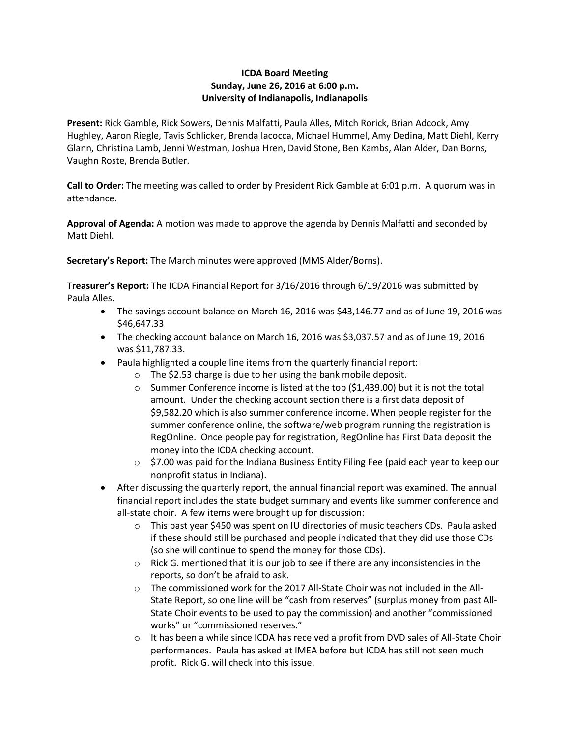## **ICDA Board Meeting Sunday, June 26, 2016 at 6:00 p.m. University of Indianapolis, Indianapolis**

**Present:** Rick Gamble, Rick Sowers, Dennis Malfatti, Paula Alles, Mitch Rorick, Brian Adcock, Amy Hughley, Aaron Riegle, Tavis Schlicker, Brenda Iacocca, Michael Hummel, Amy Dedina, Matt Diehl, Kerry Glann, Christina Lamb, Jenni Westman, Joshua Hren, David Stone, Ben Kambs, Alan Alder, Dan Borns, Vaughn Roste, Brenda Butler.

**Call to Order:** The meeting was called to order by President Rick Gamble at 6:01 p.m. A quorum was in attendance.

**Approval of Agenda:** A motion was made to approve the agenda by Dennis Malfatti and seconded by Matt Diehl.

**Secretary's Report:** The March minutes were approved (MMS Alder/Borns).

**Treasurer's Report:** The ICDA Financial Report for 3/16/2016 through 6/19/2016 was submitted by Paula Alles.

- The savings account balance on March 16, 2016 was \$43,146.77 and as of June 19, 2016 was \$46,647.33
- The checking account balance on March 16, 2016 was \$3,037.57 and as of June 19, 2016 was \$11,787.33.
- Paula highlighted a couple line items from the quarterly financial report:
	- o The \$2.53 charge is due to her using the bank mobile deposit.
	- $\circ$  Summer Conference income is listed at the top (\$1,439.00) but it is not the total amount. Under the checking account section there is a first data deposit of \$9,582.20 which is also summer conference income. When people register for the summer conference online, the software/web program running the registration is RegOnline. Once people pay for registration, RegOnline has First Data deposit the money into the ICDA checking account.
	- $\circ$  \$7.00 was paid for the Indiana Business Entity Filing Fee (paid each year to keep our nonprofit status in Indiana).
- After discussing the quarterly report, the annual financial report was examined. The annual financial report includes the state budget summary and events like summer conference and all-state choir. A few items were brought up for discussion:
	- o This past year \$450 was spent on IU directories of music teachers CDs. Paula asked if these should still be purchased and people indicated that they did use those CDs (so she will continue to spend the money for those CDs).
	- o Rick G. mentioned that it is our job to see if there are any inconsistencies in the reports, so don't be afraid to ask.
	- $\circ$  The commissioned work for the 2017 All-State Choir was not included in the All-State Report, so one line will be "cash from reserves" (surplus money from past All-State Choir events to be used to pay the commission) and another "commissioned works" or "commissioned reserves."
	- $\circ$  It has been a while since ICDA has received a profit from DVD sales of All-State Choir performances. Paula has asked at IMEA before but ICDA has still not seen much profit. Rick G. will check into this issue.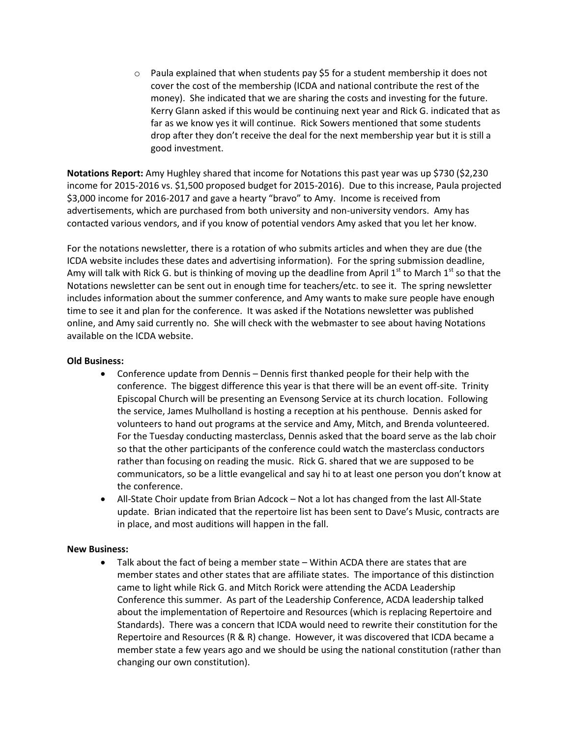$\circ$  Paula explained that when students pay \$5 for a student membership it does not cover the cost of the membership (ICDA and national contribute the rest of the money). She indicated that we are sharing the costs and investing for the future. Kerry Glann asked if this would be continuing next year and Rick G. indicated that as far as we know yes it will continue. Rick Sowers mentioned that some students drop after they don't receive the deal for the next membership year but it is still a good investment.

**Notations Report:** Amy Hughley shared that income for Notations this past year was up \$730 (\$2,230 income for 2015-2016 vs. \$1,500 proposed budget for 2015-2016). Due to this increase, Paula projected \$3,000 income for 2016-2017 and gave a hearty "bravo" to Amy. Income is received from advertisements, which are purchased from both university and non-university vendors. Amy has contacted various vendors, and if you know of potential vendors Amy asked that you let her know.

For the notations newsletter, there is a rotation of who submits articles and when they are due (the ICDA website includes these dates and advertising information). For the spring submission deadline, Amy will talk with Rick G. but is thinking of moving up the deadline from April 1<sup>st</sup> to March 1<sup>st</sup> so that the Notations newsletter can be sent out in enough time for teachers/etc. to see it. The spring newsletter includes information about the summer conference, and Amy wants to make sure people have enough time to see it and plan for the conference. It was asked if the Notations newsletter was published online, and Amy said currently no. She will check with the webmaster to see about having Notations available on the ICDA website.

## **Old Business:**

- Conference update from Dennis Dennis first thanked people for their help with the conference. The biggest difference this year is that there will be an event off-site. Trinity Episcopal Church will be presenting an Evensong Service at its church location. Following the service, James Mulholland is hosting a reception at his penthouse. Dennis asked for volunteers to hand out programs at the service and Amy, Mitch, and Brenda volunteered. For the Tuesday conducting masterclass, Dennis asked that the board serve as the lab choir so that the other participants of the conference could watch the masterclass conductors rather than focusing on reading the music. Rick G. shared that we are supposed to be communicators, so be a little evangelical and say hi to at least one person you don't know at the conference.
- All-State Choir update from Brian Adcock Not a lot has changed from the last All-State update. Brian indicated that the repertoire list has been sent to Dave's Music, contracts are in place, and most auditions will happen in the fall.

## **New Business:**

 Talk about the fact of being a member state – Within ACDA there are states that are member states and other states that are affiliate states. The importance of this distinction came to light while Rick G. and Mitch Rorick were attending the ACDA Leadership Conference this summer. As part of the Leadership Conference, ACDA leadership talked about the implementation of Repertoire and Resources (which is replacing Repertoire and Standards). There was a concern that ICDA would need to rewrite their constitution for the Repertoire and Resources (R & R) change. However, it was discovered that ICDA became a member state a few years ago and we should be using the national constitution (rather than changing our own constitution).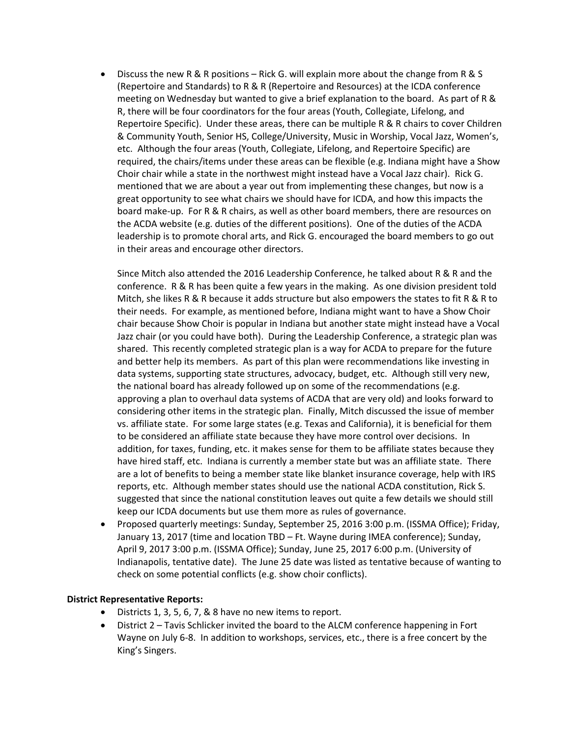Discuss the new R & R positions – Rick G. will explain more about the change from R & S (Repertoire and Standards) to R & R (Repertoire and Resources) at the ICDA conference meeting on Wednesday but wanted to give a brief explanation to the board. As part of R & R, there will be four coordinators for the four areas (Youth, Collegiate, Lifelong, and Repertoire Specific). Under these areas, there can be multiple R & R chairs to cover Children & Community Youth, Senior HS, College/University, Music in Worship, Vocal Jazz, Women's, etc. Although the four areas (Youth, Collegiate, Lifelong, and Repertoire Specific) are required, the chairs/items under these areas can be flexible (e.g. Indiana might have a Show Choir chair while a state in the northwest might instead have a Vocal Jazz chair). Rick G. mentioned that we are about a year out from implementing these changes, but now is a great opportunity to see what chairs we should have for ICDA, and how this impacts the board make-up. For R & R chairs, as well as other board members, there are resources on the ACDA website (e.g. duties of the different positions). One of the duties of the ACDA leadership is to promote choral arts, and Rick G. encouraged the board members to go out in their areas and encourage other directors.

Since Mitch also attended the 2016 Leadership Conference, he talked about R & R and the conference. R & R has been quite a few years in the making. As one division president told Mitch, she likes R & R because it adds structure but also empowers the states to fit R & R to their needs. For example, as mentioned before, Indiana might want to have a Show Choir chair because Show Choir is popular in Indiana but another state might instead have a Vocal Jazz chair (or you could have both). During the Leadership Conference, a strategic plan was shared. This recently completed strategic plan is a way for ACDA to prepare for the future and better help its members. As part of this plan were recommendations like investing in data systems, supporting state structures, advocacy, budget, etc. Although still very new, the national board has already followed up on some of the recommendations (e.g. approving a plan to overhaul data systems of ACDA that are very old) and looks forward to considering other items in the strategic plan. Finally, Mitch discussed the issue of member vs. affiliate state. For some large states (e.g. Texas and California), it is beneficial for them to be considered an affiliate state because they have more control over decisions. In addition, for taxes, funding, etc. it makes sense for them to be affiliate states because they have hired staff, etc. Indiana is currently a member state but was an affiliate state. There are a lot of benefits to being a member state like blanket insurance coverage, help with IRS reports, etc. Although member states should use the national ACDA constitution, Rick S. suggested that since the national constitution leaves out quite a few details we should still keep our ICDA documents but use them more as rules of governance.

 Proposed quarterly meetings: Sunday, September 25, 2016 3:00 p.m. (ISSMA Office); Friday, January 13, 2017 (time and location TBD – Ft. Wayne during IMEA conference); Sunday, April 9, 2017 3:00 p.m. (ISSMA Office); Sunday, June 25, 2017 6:00 p.m. (University of Indianapolis, tentative date). The June 25 date was listed as tentative because of wanting to check on some potential conflicts (e.g. show choir conflicts).

#### **District Representative Reports:**

- Districts 1, 3, 5, 6, 7, & 8 have no new items to report.
- District 2 Tavis Schlicker invited the board to the ALCM conference happening in Fort Wayne on July 6-8. In addition to workshops, services, etc., there is a free concert by the King's Singers.